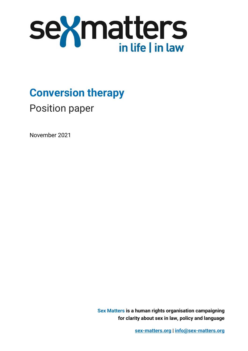

**Conversion therapy**

Position paper

November 2021

**Sex Matters is a human rights organisation campaigning for clarity about sex in law, policy and language**

**[sex-matters.org](https://sex-matters.org/) | [info@sex-matters.org](mailto:info@sex-matters.org)**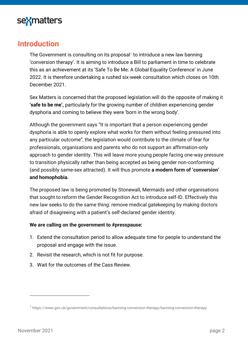

### **Introduction**

The Government is consulting on its proposal<sup>1</sup> to introduce a new law banning 'conversion therapy'. It is aiming to introduce a Bill to parliament in time to celebrate this as an achievement at its 'Safe To Be Me: A Global Equality Conference' in June 2022. It is therefore undertaking a rushed six-week consultation which closes on 10th December 2021.

Sex Matters is concerned that the proposed legislation will do the opposite of making it **'safe to be me',** particularly for the growing number of children experiencing gender dysphoria and coming to believe they were 'born in the wrong body'.

Although the government says "It is important that a person experiencing gender dysphoria is able to openly explore what works for them without feeling pressured into any particular outcome", the legislation would contribute to the climate of fear for professionals, organisations and parents who do not support an affirmation-only approach to gender identity. This will leave more young people facing one-way pressure to transition physically rather than being accepted as being gender non-conforming (and possibly same-sex attracted). It will thus promote **a modern form of 'conversion' and homophobia.**

The proposed law is being promoted by Stonewall, Mermaids and other organisations that sought to reform the Gender Recognition Act to introduce self-ID. Effectively this new law seeks to do the same thing: remove medical gatekeeping by making doctors afraid of disagreeing with a patient's self-declared gender identity.

#### **We are calling on the government to #presspause:**

- 1. Extend the consultation period to allow adequate time for people to understand the proposal and engage with the issue.
- 2. Revisit the research, which is not fit for purpose.
- 3. Wait for the outcomes of the Cass Review.

<sup>1</sup> <https://www.gov.uk/government/consultations/banning-conversion-therapy/banning-conversion-therapy>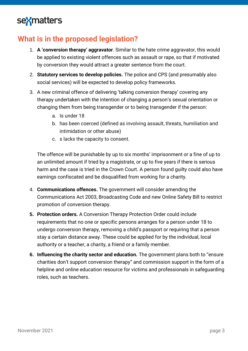## **What is in the proposed legislation?**

- 1. **A 'conversion therapy' aggravator**. Similar to the hate crime aggravator, this would be applied to existing violent offences such as assault or rape, so that if motivated by conversion they would attract a greater sentence from the court.
- 2. **Statutory services to develop policies.** The police and CPS (and presumably also social services) will be expected to develop policy frameworks.
- 3. A new criminal offence of delivering 'talking conversion therapy' covering any therapy undertaken with the intention of changing a person's sexual orientation or changing them from being transgender or to being transgender if the person:
	- a. Is under 18
	- b. has been coerced (defined as involving assault, threats, humiliation and intimidation or other abuse)
	- c. s lacks the capacity to consent.

The offence will be punishable by up to six months' imprisonment or a fine of up to an unlimited amount if tried by a magistrate, or up to five years if there is serious harm and the case is tried in the Crown Court. A person found guilty could also have earnings confiscated and be disqualified from working for a charity.

- 4. **Communications offences.** The government will consider amending the Communications Act 2003, Broadcasting Code and new Online Safety Bill to restrict promotion of conversion therapy.
- **5. Protection orders.** A Conversion Therapy Protection Order could include requirements that no one or specific persons arranges for a person under 18 to undergo conversion therapy, removing a child's passport or requiring that a person stay a certain distance away. These could be applied for by the individual, local authority or a teacher, a charity, a friend or a family member.
- **6. Influencing the charity sector and education.** The government plans both to "ensure charities don't support conversion therapy" and commission support in the form of a helpline and online education resource for victims and professionals in safeguarding roles, such as teachers.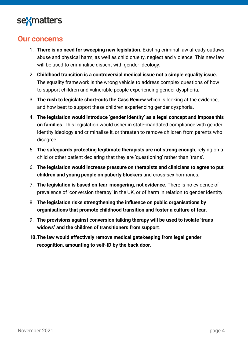

### **Our concerns**

- 1. **There is no need for sweeping new legislation**. Existing criminal law already outlaws abuse and physical harm, as well as child cruelty, neglect and violence. This new law will be used to criminalise dissent with gender ideology.
- 2. **Childhood transition is a controversial medical issue not a simple equality issue.** The equality framework is the wrong vehicle to address complex questions of how to support children and vulnerable people experiencing gender dysphoria.
- 3. **The rush to legislate short-cuts the Cass Review** which is looking at the evidence, and how best to support these children experiencing gender dysphoria.
- 4. **The legislation would introduce 'gender identity' as a legal concept and impose this on families**. This legislation would usher in state-mandated compliance with gender identity ideology and criminalise it, or threaten to remove children from parents who disagree.
- 5. **The safeguards protecting legitimate therapists are not strong enough**, relying on a child or other patient declaring that they are 'questioning' rather than 'trans'.
- 6. **The legislation would increase pressure on therapists and clinicians to agree to put children and young people on puberty blockers** and cross-sex hormones.
- 7. **The legislation is based on fear-mongering, not evidence**. There is no evidence of prevalence of 'conversion therapy' in the UK, or of harm in relation to gender identity.
- 8. **The legislation risks strengthening the influence on public organisations by organisations that promote childhood transition and foster a culture of fear.**
- 9. **The provisions against conversion talking therapy will be used to isolate 'trans widows' and the children of transitioners from support**.
- **10.The law would effectively remove medical gatekeeping from legal gender recognition, amounting to self-ID by the back door.**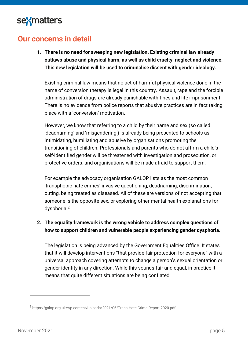## **Our concerns in detail**

**1. There is no need for sweeping new legislation. Existing criminal law already outlaws abuse and physical harm, as well as child cruelty, neglect and violence. This new legislation will be used to criminalise dissent with gender ideology.** 

Existing criminal law means that no act of harmful physical violence done in the name of conversion therapy is legal in this country. Assault, rape and the forcible administration of drugs are already punishable with fines and life imprisonment. There is no evidence from police reports that abusive practices are in fact taking place with a 'conversion' motivation.

However, we know that referring to a child by their name and sex (so called 'deadnaming' and 'misgendering') is already being presented to schools as intimidating, humiliating and abusive by organisations promoting the transitioning of children. Professionals and parents who do not affirm a child's self-identified gender will be threatened with investigation and prosecution, or protective orders, and organisations will be made afraid to support them.

For example the advocacy organisation GALOP lists as the most common 'transphobic hate crimes' invasive questioning, deadnaming, discrimination, outing, being treated as diseased. All of these are versions of not accepting that someone is the opposite sex, or exploring other mental health explanations for dysphoria.<sup>2</sup>

#### **2. The equality framework is the wrong vehicle to address complex questions of how to support children and vulnerable people experiencing gender dysphoria.**

The legislation is being advanced by the Government Equalities Office. It states that it will develop interventions "that provide fair protection for everyone" with a universal approach covering attempts to change a person's sexual orientation or gender identity in any direction. While this sounds fair and equal, in practice it means that quite different situations are being conflated.

<sup>&</sup>lt;sup>2</sup> <https://galop.org.uk/wp-content/uploads/2021/06/Trans-Hate-Crime-Report-2020.pdf>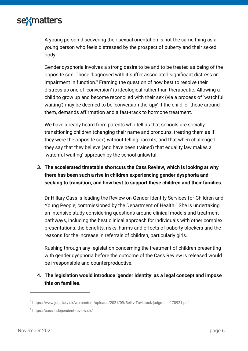A young person discovering their sexual orientation is not the same thing as a young person who feels distressed by the prospect of puberty and their sexed body.

Gender dysphoria involves a strong desire to be and to be treated as being of the opposite sex. Those diagnosed with it suffer associated significant distress or impairment in function. $3$  Framing the question of how best to resolve their distress as one of 'conversion' is ideological rather than therapeutic. Allowing a child to grow up and become reconciled with their sex (via a process of 'watchful waiting') may be deemed to be 'conversion therapy' if the child, or those around them, demands affirmation and a fast-track to hormone treatment.

We have already heard from parents who tell us that schools are socially transitioning children (changing their name and pronouns, treating them as if they were the opposite sex) without telling parents, and that when challenged they say that they believe (and have been trained) that equality law makes a 'watchful waiting' approach by the school unlawful.

### **3. The accelerated timetable shortcuts the Cass Review, which is looking at why there has been such a rise in children experiencing gender dysphoria and seeking to transition, and how best to support these children and their families.**

Dr Hillary Cass is leading the Review on Gender Identity Services for Children and Young People, commissioned by the Department of Health.<sup>4</sup> She is undertaking an intensive study considering questions around clinical models and treatment pathways, including the best clinical approach for individuals with other complex presentations, the benefits, risks, harms and effects of puberty blockers and the reasons for the increase in referrals of children, particularly girls.

Rushing through any legislation concerning the treatment of children presenting with gender dysphoria before the outcome of the Cass Review is released would be irresponsible and counterproductive.

#### **4. The legislation would introduce 'gender identity' as a legal concept and impose this on families.**

<sup>&</sup>lt;sup>3</sup> <https://www.judiciary.uk/wp-content/uploads/2021/09/Bell-v-Tavistock-judgment-170921.pdf>

<sup>4</sup> <https://cass.independent-review.uk/>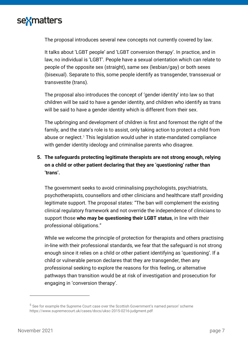

The proposal introduces several new concepts not currently covered by law.

It talks about 'LGBT people' and 'LGBT conversion therapy'. In practice, and in law, no individual is 'LGBT'. People have a sexual orientation which can relate to people of the opposite sex (straight), same sex (lesbian/gay) or both sexes (bisexual). Separate to this, some people identify as transgender, transsexual or transvestite (trans).

The proposal also introduces the concept of 'gender identity' into law so that children will be said to have a gender identity, and children who identify as trans will be said to have a gender identity which is different from their sex.

The upbringing and development of children is first and foremost the right of the family, and the state's role is to assist, only taking action to protect a child from abuse or neglect.<sup>5</sup> This legislation would usher in state-mandated compliance with gender identity ideology and criminalise parents who disagree.

### **5. The safeguards protecting legitimate therapists are not strong enough, relying on a child or other patient declaring that they are 'questioning' rather than 'trans'.**

The government seeks to avoid criminalising psychologists, psychiatrists, psychotherapists, counsellors and other clinicians and healthcare staff providing legitimate support. The proposal states: "The ban will complement the existing clinical regulatory framework and not override the independence of clinicians to support those **who may be questioning their LGBT status**, in line with their professional obligations."

While we welcome the principle of protection for therapists and others practising in-line with their professional standards, we fear that the safeguard is not strong enough since it relies on a child or other patient identifying as 'questioning'. If a child or vulnerable person declares that they *are* transgender, then any professional seeking to explore the reasons for this feeling, or alternative pathways than transition would be at risk of investigation and prosecution for engaging in 'conversion therapy'.

<sup>&</sup>lt;sup>5</sup> See for example the Supreme Court case over the Scottish Government's named person' scheme <https://www.supremecourt.uk/cases/docs/uksc-2015-0216-judgment.pdf>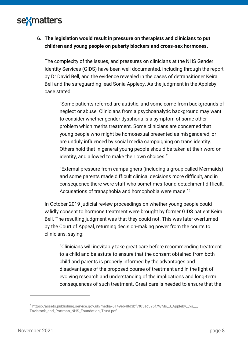### **6. The legislation would result in pressure on therapists and clinicians to put children and young people on puberty blockers and cross-sex hormones.**

The complexity of the issues, and pressures on clinicians at the NHS Gender Identity Services (GIDS) have been well documented, including through the report by Dr David Bell, and the evidence revealed in the cases of detransitioner Keira Bell and the safeguarding lead Sonia Appleby. As the judgment in the Appleby case stated:

"Some patients referred are autistic, and some come from backgrounds of neglect or abuse. Clinicians from a psychoanalytic background may want to consider whether gender dysphoria is a symptom of some other problem which merits treatment. Some clinicians are concerned that young people who might be homosexual presented as misgendered, or are unduly influenced by social media campaigning on trans identity. Others hold that in general young people should be taken at their word on identity, and allowed to make their own choices."

"External pressure from campaigners (including a group called Mermaids) and some parents made difficult clinical decisions more difficult, and in consequence there were staff who sometimes found detachment difficult. Accusations of transphobia and homophobia were made."<sup>6</sup>

In October 2019 judicial review proceedings on whether young people could validly consent to hormone treatment were brought by former GIDS patient Keira Bell. The resulting judgment was that they could not. This was later overturned by the Court of Appeal, returning decision-making power from the courts to clinicians, saying:

"Clinicians will inevitably take great care before recommending treatment to a child and be astute to ensure that the consent obtained from both child and parents is properly informed by the advantages and disadvantages of the proposed course of treatment and in the light of evolving research and understanding of the implications and long-term consequences of such treatment. Great care is needed to ensure that the

<sup>&</sup>lt;sup>6</sup> [https://assets.publishing.service.gov.uk/media/6149eb48d3bf7f05ac396f79/Ms\\_S\\_Appleby\\_\\_vs\\_\\_\\_](https://assets.publishing.service.gov.uk/media/6149eb48d3bf7f05ac396f79/Ms_S_Appleby__vs___Tavistock_and_Portman_NHS_Foundation_Trust.pdf) [Tavistock\\_and\\_Portman\\_NHS\\_Foundation\\_Trust.pdf](https://assets.publishing.service.gov.uk/media/6149eb48d3bf7f05ac396f79/Ms_S_Appleby__vs___Tavistock_and_Portman_NHS_Foundation_Trust.pdf)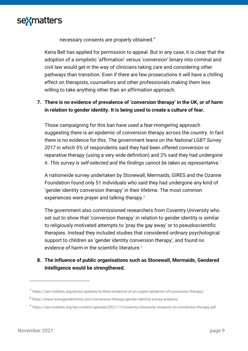

necessary consents are properly obtained."

Keira Bell has applied for permission to appeal. But in any case, it is clear that the adoption of a simplistic 'affirmation' versus 'conversion' binary into criminal and civil law would get in the way of clinicians taking care and considering other pathways than transition. Even if there are few prosecutions it will have a chilling effect on therapists, counsellors and other professionals making them less willing to take anything other than an affirmation approach.

#### **7. There is no evidence of prevalence of 'conversion therapy' in the UK, or of harm in relation to gender identity. It is being used to create a culture of fear.**

Those campaigning for this ban have used a fear-mongering approach suggesting there is an epidemic of conversion therapy across the country. In fact there is no evidence for this. The government leans on the *National LGBT Survey 2017* in which 5% of respondents said they had been offered conversion or reparative therapy (using a very wide definition) and 2% said they had undergone it. *This survey is self-selected and the findings cannot be taken as representative.*<sup>7</sup>

A nationwide survey undertaken by Stonewall, Mermaids, GIRES and the Ozanne Foundation [found only 51 individuals w](https://www.transgendertrend.com/conversion-therapy-gender-identity-survey-analysis/)ho said they had undergone any kind of 'gender identity conversion therapy' in their lifetime*.* The most common experiences were prayer and talking therapy.<sup>8</sup>

The government also commissioned researchers from Coventry University who set out to show that 'conversion therapy' in relation to gender identity is similar to religiously motivated attempts to 'pray the gay away' or to pseudoscientific therapies. Instead they included studies that considered ordinary psychological support to children as 'gender identity conversion therapy', and found no evidence of harm in the scientific literature.<sup>9</sup>

**8. The influence of public organisations such as Stonewall, Mermaids, Gendered Intelligence would be strengthened.** 

 $^7$  <https://sex-matters.org/posts/updates/is-there-evidence-of-an-urgent-epidemic-of-conversion-therapy/>

<sup>&</sup>lt;sup>8</sup> <https://www.transgendertrend.com/conversion-therapy-gender-identity-survey-analysis/>

<sup>&</sup>lt;sup>9</sup><https://sex-matters.org/wp-content/uploads/2021/11/Coventry-University-research-on-conversion-therapy.pdf>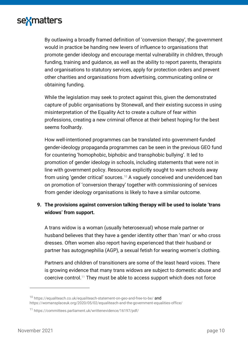

By outlawing a broadly framed definition of 'conversion therapy', the government would in practice be handing new levers of influence to organisations that promote gender ideology and encourage mental vulnerability in children, through funding, training and guidance, as well as the ability to report parents, therapists and organisations to statutory services, apply for protection orders and prevent other charities and organisations from advertising, communicating online or obtaining funding.

While the legislation may seek to protect against this, given the demonstrated capture of public organisations by Stonewall, and their existing success in using misinterpretation of the Equality Act to create a culture of fear within professions, creating a new criminal offence at their behest hoping for the best seems foolhardy.

How well-intentioned programmes can be translated into government-funded gender-ideology propaganda programmes can be seen in the previous GEO fund for countering 'homophobic, biphobic and transphobic bullying'. It led to promotion of gender ideology in schools, including statements that were not in line with government policy. Resources explicitly sought to warn schools away from using 'gender critical' sources.<sup>10</sup> A vaguely conceived and unevidenced ban on promotion of 'conversion therapy' together with commissioning of services from gender ideology organisations is likely to have a similar outcome.

#### **9. The provisions against conversion talking therapy will be used to isolate 'trans widows' from support.**

A trans widow is a woman (usually heterosexual) whose male partner or husband believes that they have a gender identity other than 'man' or who cross dresses. Often women also report having experienced that their husband or partner has autogynephilia (AGP), a sexual fetish for wearing women's clothing.

Partners and children of transitioners are some of the least heard voices. There is growing evidence that many trans widows are subject to domestic abuse and coercive control.<sup>11</sup> They must be able to access support which does not force

<sup>10</sup> <https://equaliteach.co.uk/equaliteach-statement-on-geo-and-free-to-be/> and https://womansplaceuk.org/2020/05/02/equaliteach-and-the-government-equalities-office/

<sup>11</sup> <https://committees.parliament.uk/writtenevidence/16197/pdf/>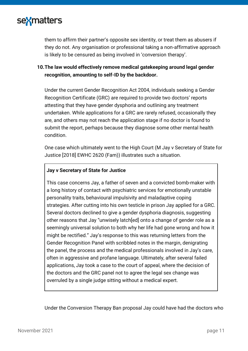

them to affirm their partner's opposite sex identity, or treat them as abusers if they do not. Any organisation or professional taking a non-affirmative approach is likely to be censured as being involved in 'conversion therapy'.

#### **10.The law would effectively remove medical gatekeeping around legal gender recognition, amounting to self-ID by the backdoor.**

Under the current Gender Recognition Act 2004, individuals seeking a Gender Recognition Certificate (GRC) are required to provide two doctors' reports attesting that they have gender dysphoria and outlining any treatment undertaken. While applications for a GRC are rarely refused, occasionally they are, and others may not reach the application stage if no doctor is found to submit the report, perhaps because they diagnose some other mental health condition.

One case which ultimately went to the High Court (M Jay v Secretary of State for Justice [2018] EWHC 2620 (Fam)) illustrates such a situation.

#### **Jay v Secretary of State for Justice**

This case concerns Jay, a father of seven and a convicted bomb-maker with a long history of contact with psychiatric services for emotionally unstable personality traits, behavioural impulsivity and maladaptive coping strategies. After cutting into his own testicle in prison Jay applied for a GRC. Several doctors declined to give a gender dysphoria diagnosis, suggesting other reasons that Jay "unwisely latch[ed] onto a change of gender role as a seemingly universal solution to both why her life had gone wrong and how it might be rectified." Jay's response to this was returning letters from the Gender Recognition Panel with scribbled notes in the margin, denigrating the panel, the process and the medical professionals involved in Jay's care, often in aggressive and profane language. Ultimately, after several failed applications, Jay took a case to the court of appeal, where the decision of the doctors and the GRC panel not to agree the legal sex change was overruled by a single judge sitting without a medical expert.

Under the Conversion Therapy Ban proposal Jay could have had the doctors who